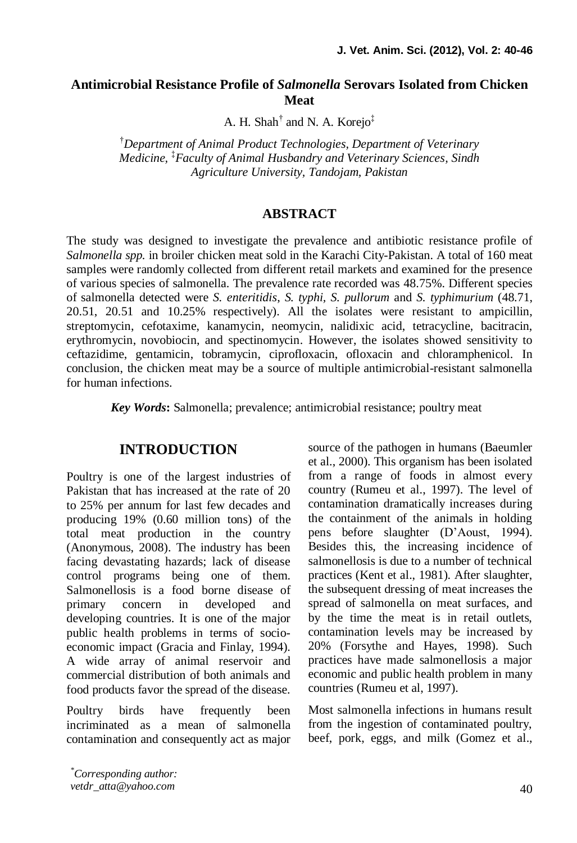#### **Antimicrobial Resistance Profile of** *Salmonella* **Serovars Isolated from Chicken Meat**

A. H. Shah<sup>†</sup> and N. A. Korejo<sup>‡</sup>

†*Department of Animal Product Technologies, Department of Veterinary Medicine,* ‡*Faculty of Animal Husbandry and Veterinary Sciences, Sindh Agriculture University, Tandojam, Pakistan*

#### **ABSTRACT**

The study was designed to investigate the prevalence and antibiotic resistance profile of *Salmonella spp.* in broiler chicken meat sold in the Karachi City-Pakistan. A total of 160 meat samples were randomly collected from different retail markets and examined for the presence of various species of salmonella. The prevalence rate recorded was 48.75%. Different species of salmonella detected were *S. enteritidis*, *S. typhi, S. pullorum* and *S. typhimurium* (48.71, 20.51, 20.51 and 10.25% respectively). All the isolates were resistant to ampicillin, streptomycin, cefotaxime, kanamycin, neomycin, nalidixic acid, tetracycline, bacitracin, erythromycin, novobiocin, and spectinomycin. However, the isolates showed sensitivity to ceftazidime, gentamicin, tobramycin, ciprofloxacin, ofloxacin and chloramphenicol. In conclusion, the chicken meat may be a source of multiple antimicrobial-resistant salmonella for human infections.

*Key Words***:** Salmonella; prevalence; antimicrobial resistance; poultry meat

### **INTRODUCTION**

Poultry is one of the largest industries of Pakistan that has increased at the rate of 20 to 25% per annum for last few decades and producing 19% (0.60 million tons) of the total meat production in the country (Anonymous, 2008). The industry has been facing devastating hazards; lack of disease control programs being one of them. Salmonellosis is a food borne disease of primary concern in developed and developing countries. It is one of the major public health problems in terms of socioeconomic impact (Gracia and Finlay, 1994). A wide array of animal reservoir and commercial distribution of both animals and food products favor the spread of the disease.

Poultry birds have frequently been incriminated as a mean of salmonella contamination and consequently act as major source of the pathogen in humans (Baeumler et al., 2000). This organism has been isolated from a range of foods in almost every country (Rumeu et al., 1997). The level of contamination dramatically increases during the containment of the animals in holding pens before slaughter (D'Aoust, 1994). Besides this, the increasing incidence of salmonellosis is due to a number of technical practices (Kent et al., 1981). After slaughter, the subsequent dressing of meat increases the spread of salmonella on meat surfaces, and by the time the meat is in retail outlets, contamination levels may be increased by 20% (Forsythe and Hayes, 1998). Such practices have made salmonellosis a major economic and public health problem in many countries (Rumeu et al, 1997).

Most salmonella infections in humans result from the ingestion of contaminated poultry, beef, pork, eggs, and milk (Gomez et al.,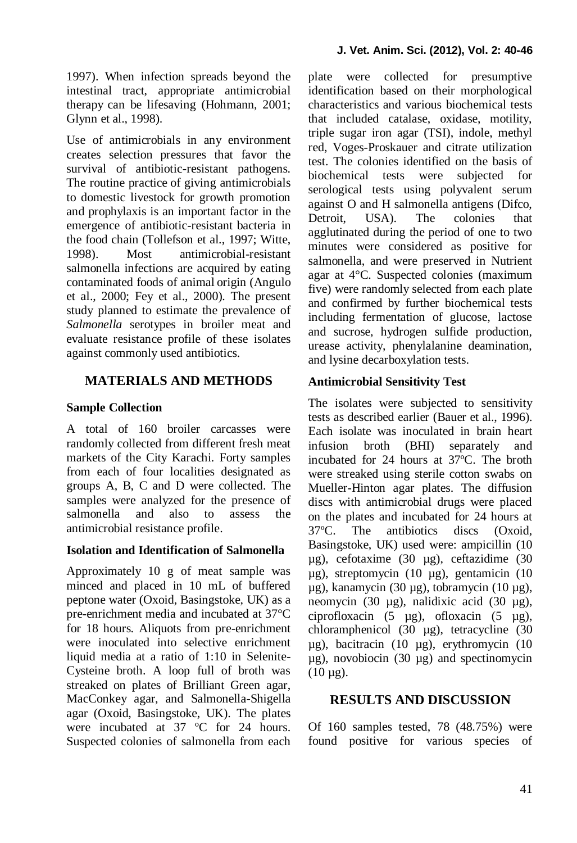1997). When infection spreads beyond the intestinal tract, appropriate antimicrobial therapy can be lifesaving (Hohmann, 2001; Glynn et al., 1998).

Use of antimicrobials in any environment creates selection pressures that favor the survival of antibiotic-resistant pathogens. The routine practice of giving antimicrobials to domestic livestock for growth promotion and prophylaxis is an important factor in the emergence of antibiotic-resistant bacteria in the food chain (Tollefson et al., 1997; Witte, 1998). Most antimicrobial-resistant salmonella infections are acquired by eating contaminated foods of animal origin (Angulo et al., 2000; Fey et al., 2000). The present study planned to estimate the prevalence of *Salmonella* serotypes in broiler meat and evaluate resistance profile of these isolates against commonly used antibiotics.

# **MATERIALS AND METHODS**

# **Sample Collection**

A total of 160 broiler carcasses were randomly collected from different fresh meat markets of the City Karachi. Forty samples from each of four localities designated as groups A, B, C and D were collected. The samples were analyzed for the presence of salmonella and also to assess the antimicrobial resistance profile.

#### **Isolation and Identification of Salmonella**

Approximately 10 g of meat sample was minced and placed in 10 mL of buffered peptone water (Oxoid, Basingstoke, UK) as a pre-enrichment media and incubated at 37°C for 18 hours. Aliquots from pre-enrichment were inoculated into selective enrichment liquid media at a ratio of 1:10 in Selenite-Cysteine broth. A loop full of broth was streaked on plates of Brilliant Green agar, MacConkey agar, and Salmonella-Shigella agar (Oxoid, Basingstoke, UK). The plates were incubated at 37 ºC for 24 hours. Suspected colonies of salmonella from each plate were collected for presumptive identification based on their morphological characteristics and various biochemical tests that included catalase, oxidase, motility, triple sugar iron agar (TSI), indole, methyl red, Voges-Proskauer and citrate utilization test. The colonies identified on the basis of biochemical tests were subjected for serological tests using polyvalent serum against O and H salmonella antigens (Difco, Detroit. USA). The colonies that agglutinated during the period of one to two minutes were considered as positive for salmonella, and were preserved in Nutrient agar at 4°C. Suspected colonies (maximum five) were randomly selected from each plate and confirmed by further biochemical tests including fermentation of glucose, lactose and sucrose, hydrogen sulfide production, urease activity, phenylalanine deamination, and lysine decarboxylation tests.

# **Antimicrobial Sensitivity Test**

The isolates were subjected to sensitivity tests as described earlier (Bauer et al., 1996). Each isolate was inoculated in brain heart infusion broth (BHI) separately and incubated for 24 hours at 37ºC. The broth were streaked using sterile cotton swabs on Mueller-Hinton agar plates. The diffusion discs with antimicrobial drugs were placed on the plates and incubated for 24 hours at 37ºC. The antibiotics discs (Oxoid, Basingstoke, UK) used were: ampicillin (10 µg), cefotaxime (30 µg), ceftazidime (30 µg), streptomycin (10 µg), gentamicin (10 µg), kanamycin (30 µg), tobramycin (10 µg), neomycin (30 µg), nalidixic acid (30 µg), ciprofloxacin (5 µg), ofloxacin (5 µg), chloramphenicol (30 µg), tetracycline (30 µg), bacitracin (10 µg), erythromycin (10 µg), novobiocin (30 µg) and spectinomycin  $(10 \mu g)$ .

# **RESULTS AND DISCUSSION**

Of 160 samples tested, 78 (48.75%) were found positive for various species of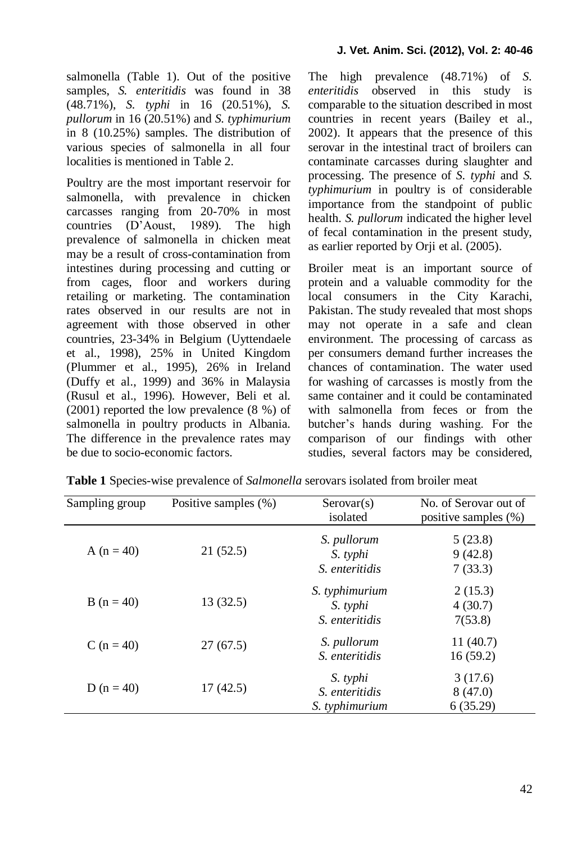salmonella (Table 1). Out of the positive samples, *S. enteritidis* was found in 38 (48.71%), *S. typhi* in 16 (20.51%), *S. pullorum* in 16 (20.51%) and *S. typhimurium* in 8 (10.25%) samples. The distribution of various species of salmonella in all four localities is mentioned in Table 2.

Poultry are the most important reservoir for salmonella*,* with prevalence in chicken carcasses ranging from 20-70% in most countries (D'Aoust, 1989). The high prevalence of salmonella in chicken meat may be a result of cross-contamination from intestines during processing and cutting or from cages, floor and workers during retailing or marketing. The contamination rates observed in our results are not in agreement with those observed in other countries, 23-34% in Belgium (Uyttendaele et al., 1998), 25% in United Kingdom (Plummer et al*.*, 1995), 26% in Ireland (Duffy et al., 1999) and 36% in Malaysia (Rusul et al., 1996). However, Beli et al*.* (2001) reported the low prevalence (8 %) of salmonella in poultry products in Albania. The difference in the prevalence rates may be due to socio-economic factors.

The high prevalence (48.71%) of *S. enteritidis* observed in this study is comparable to the situation described in most countries in recent years (Bailey et al., 2002). It appears that the presence of this serovar in the intestinal tract of broilers can contaminate carcasses during slaughter and processing. The presence of *S. typhi* and *S. typhimurium* in poultry is of considerable importance from the standpoint of public health. *S. pullorum* indicated the higher level of fecal contamination in the present study, as earlier reported by Orji et al*.* (2005).

Broiler meat is an important source of protein and a valuable commodity for the local consumers in the City Karachi, Pakistan. The study revealed that most shops may not operate in a safe and clean environment. The processing of carcass as per consumers demand further increases the chances of contamination. The water used for washing of carcasses is mostly from the same container and it could be contaminated with salmonella from feces or from the butcher's hands during washing. For the comparison of our findings with other studies, several factors may be considered,

| Sampling group | Positive samples (%) | $S$ erovar $(s)$<br>isolated                        | No. of Serovar out of<br>positive samples $(\%)$ |  |
|----------------|----------------------|-----------------------------------------------------|--------------------------------------------------|--|
| A $(n = 40)$   | 21(52.5)             | S. pullorum<br>S. typhi<br><i>S. enteritidis</i>    | 5(23.8)<br>9(42.8)<br>7(33.3)                    |  |
| $B(n = 40)$    | 13(32.5)             | S. typhimurium<br>S. typhi<br>S. enteritidis        | 2(15.3)<br>4(30.7)<br>7(53.8)                    |  |
| C $(n = 40)$   | 27(67.5)             | S. pullorum<br><i>S. enteritidis</i>                | 11(40.7)<br>16(59.2)                             |  |
| D ( $n = 40$ ) | 17(42.5)             | S. typhi<br><i>S. enteritidis</i><br>S. typhimurium | 3(17.6)<br>8(47.0)<br>6(35.29)                   |  |

**Table 1** Species-wise prevalence of *Salmonella* serovars isolated from broiler meat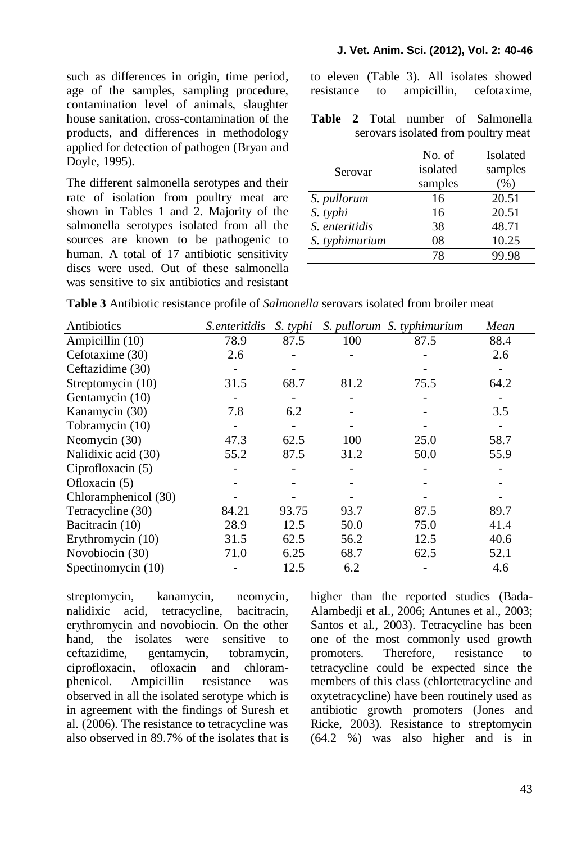such as differences in origin, time period, age of the samples, sampling procedure, contamination level of animals, slaughter house sanitation, cross-contamination of the products, and differences in methodology applied for detection of pathogen (Bryan and Doyle, 1995).

The different salmonella serotypes and their rate of isolation from poultry meat are shown in Tables 1 and 2. Majority of the salmonella serotypes isolated from all the sources are known to be pathogenic to human. A total of 17 antibiotic sensitivity discs were used. Out of these salmonella was sensitive to six antibiotics and resistant

to eleven (Table 3). All isolates showed resistance to ampicillin, cefotaxime,

**Table 2** Total number of Salmonella serovars isolated from poultry meat

|                | No. of   | <b>Isolated</b> |  |
|----------------|----------|-----------------|--|
| Serovar        | isolated | samples         |  |
|                | samples  | (%)             |  |
| S. pullorum    | 16       | 20.51           |  |
| S. typhi       | 16       | 20.51           |  |
| S. enteritidis | 38       | 48.71           |  |
| S. typhimurium | 08       | 10.25           |  |
|                | 78       |                 |  |

**Table 3** Antibiotic resistance profile of *Salmonella* serovars isolated from broiler meat

| Antibiotics          | S.enteritidis | S. typhi |      | S. pullorum S. typhimurium | Mean |
|----------------------|---------------|----------|------|----------------------------|------|
| Ampicillin (10)      | 78.9          | 87.5     | 100  | 87.5                       | 88.4 |
| Cefotaxime (30)      | 2.6           |          |      |                            | 2.6  |
| Ceftazidime (30)     |               |          |      |                            |      |
| Streptomycin (10)    | 31.5          | 68.7     | 81.2 | 75.5                       | 64.2 |
| Gentamycin (10)      |               |          |      |                            |      |
| Kanamycin (30)       | 7.8           | 6.2      |      |                            | 3.5  |
| Tobramycin (10)      |               |          |      |                            |      |
| Neomycin (30)        | 47.3          | 62.5     | 100  | 25.0                       | 58.7 |
| Nalidixic acid (30)  | 55.2          | 87.5     | 31.2 | 50.0                       | 55.9 |
| Ciprofloxacin (5)    |               |          |      |                            |      |
| Ofloxacin (5)        |               |          |      |                            |      |
| Chloramphenicol (30) |               |          |      |                            |      |
| Tetracycline (30)    | 84.21         | 93.75    | 93.7 | 87.5                       | 89.7 |
| Bacitracin (10)      | 28.9          | 12.5     | 50.0 | 75.0                       | 41.4 |
| Erythromycin (10)    | 31.5          | 62.5     | 56.2 | 12.5                       | 40.6 |
| Novobiocin (30)      | 71.0          | 6.25     | 68.7 | 62.5                       | 52.1 |
| Spectinomycin (10)   |               | 12.5     | 6.2  |                            | 4.6  |

streptomycin, kanamycin, neomycin, nalidixic acid, tetracycline, bacitracin, erythromycin and novobiocin. On the other hand, the isolates were sensitive to ceftazidime, gentamycin, tobramycin, ciprofloxacin, ofloxacin and chloramphenicol. Ampicillin resistance was observed in all the isolated serotype which is in agreement with the findings of Suresh et al. (2006). The resistance to tetracycline was also observed in 89.7% of the isolates that is

higher than the reported studies (Bada-Alambedji et al., 2006; Antunes et al., 2003; Santos et al*.*, 2003). Tetracycline has been one of the most commonly used growth promoters. Therefore, resistance to tetracycline could be expected since the members of this class (chlortetracycline and oxytetracycline) have been routinely used as antibiotic growth promoters (Jones and Ricke, 2003). Resistance to streptomycin (64.2 %) was also higher and is in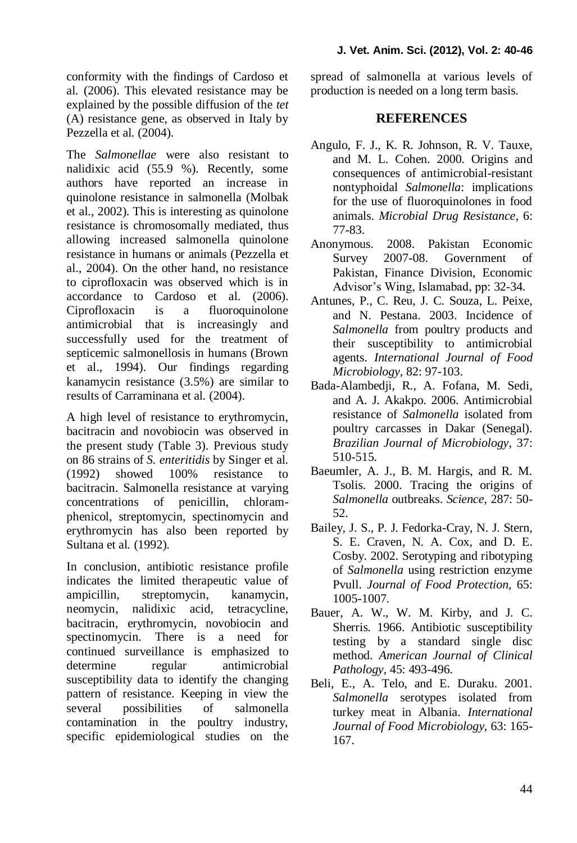conformity with the findings of Cardoso et al*.* (2006). This elevated resistance may be explained by the possible diffusion of the *tet* (A) resistance gene, as observed in Italy by Pezzella et al*.* (2004).

The *Salmonellae* were also resistant to nalidixic acid (55.9 %). Recently, some authors have reported an increase in quinolone resistance in salmonella (Molbak et al., 2002). This is interesting as quinolone resistance is chromosomally mediated, thus allowing increased salmonella quinolone resistance in humans or animals (Pezzella et al., 2004). On the other hand, no resistance to ciprofloxacin was observed which is in accordance to Cardoso et al*.* (2006). Ciprofloxacin is a fluoroquinolone antimicrobial that is increasingly and successfully used for the treatment of septicemic salmonellosis in humans (Brown et al., 1994). Our findings regarding kanamycin resistance (3.5%) are similar to results of Carraminana et al*.* (2004).

A high level of resistance to erythromycin, bacitracin and novobiocin was observed in the present study (Table 3). Previous study on 86 strains of *S. enteritidis* by Singer et al*.* (1992) showed 100% resistance to bacitracin. Salmonella resistance at varying concentrations of penicillin, chloramphenicol, streptomycin, spectinomycin and erythromycin has also been reported by Sultana et al*.* (1992).

In conclusion, antibiotic resistance profile indicates the limited therapeutic value of ampicillin, streptomycin, kanamycin, neomycin, nalidixic acid, tetracycline, bacitracin, erythromycin, novobiocin and spectinomycin. There is a need for continued surveillance is emphasized to determine regular antimicrobial susceptibility data to identify the changing pattern of resistance. Keeping in view the several possibilities of salmonella contamination in the poultry industry, specific epidemiological studies on the

spread of salmonella at various levels of production is needed on a long term basis.

### **REFERENCES**

- Angulo, F. J., K. R. Johnson, R. V. Tauxe, and M. L. Cohen. 2000. Origins and consequences of antimicrobial-resistant nontyphoidal *Salmonella*: implications for the use of fluoroquinolones in food animals. *Microbial Drug Resistance,* 6: 77-83.
- Anonymous. 2008. Pakistan Economic Survey 2007-08. Government of Pakistan, Finance Division, Economic Advisor's Wing, Islamabad, pp: 32-34.
- Antunes, P., C. Reu, J. C. Souza, L. Peixe, and N. Pestana. 2003. Incidence of *Salmonella* from poultry products and their susceptibility to antimicrobial agents. *International Journal of Food Microbiology,* 82: 97-103.
- Bada-Alambedji, R., A. Fofana, M. Sedi, and A. J. Akakpo. 2006. Antimicrobial resistance of *Salmonella* isolated from poultry carcasses in Dakar (Senegal). *Brazilian Journal of Microbiology,* 37: 510-515.
- Baeumler, A. J., B. M. Hargis, and R. M. Tsolis. 2000. Tracing the origins of *Salmonella* outbreaks. *Science,* 287: 50- 52.
- Bailey, J. S., P. J. Fedorka-Cray, N. J. Stern, S. E. Craven, N. A. Cox, and D. E. Cosby. 2002. Serotyping and ribotyping of *Salmonella* using restriction enzyme Pvull. *Journal of Food Protection,* 65: 1005-1007.
- Bauer, A. W., W. M. Kirby, and J. C. Sherris. 1966. Antibiotic susceptibility testing by a standard single disc method. *American Journal of Clinical Pathology,* 45: 493-496.
- Beli, E., A. Telo, and E. Duraku. 2001. *Salmonella* serotypes isolated from turkey meat in Albania. *International Journal of Food Microbiology,* 63: 165- 167.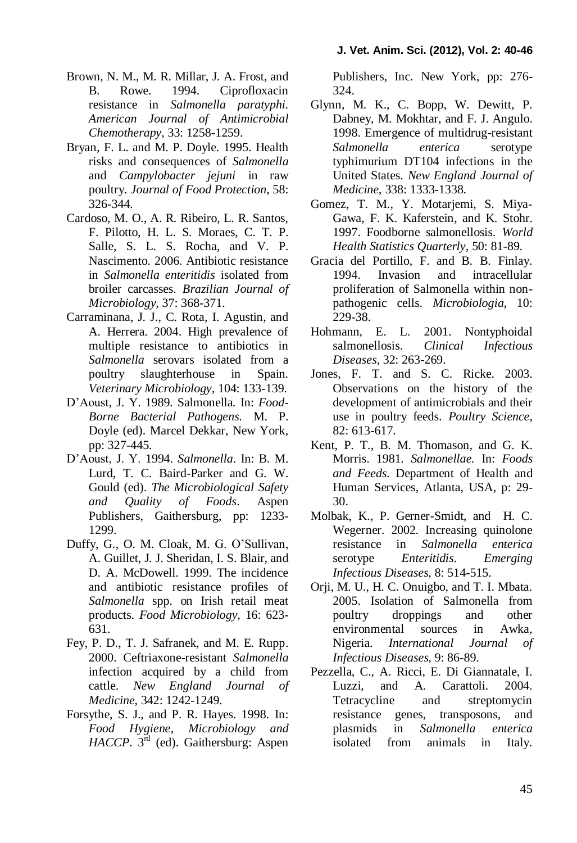- Brown, N. M., M. R. Millar, J. A. Frost, and B. Rowe. 1994. Ciprofloxacin resistance in *Salmonella paratyphi. American Journal of Antimicrobial Chemotherapy,* 33: 1258-1259.
- Bryan, F. L. and M. P. Doyle. 1995. Health risks and consequences of *Salmonella* and *Campylobacter jejuni* in raw poultry. *Journal of Food Protection,* 58: 326-344.
- Cardoso, M. O., A. R. Ribeiro, L. R. Santos, F. Pilotto, H. L. S. Moraes, C. T. P. Salle, S. L. S. Rocha, and V. P. Nascimento. 2006. Antibiotic resistance in *Salmonella enteritidis* isolated from broiler carcasses. *Brazilian Journal of Microbiology,* 37: 368-371.
- Carraminana, J. J., C. Rota, I. Agustin, and A. Herrera. 2004. High prevalence of multiple resistance to antibiotics in *Salmonella* serovars isolated from a poultry slaughterhouse in Spain. *Veterinary Microbiology,* 104: 133-139.
- D'Aoust, J. Y. 1989. Salmonella*.* In: *Food-Borne Bacterial Pathogens*. M. P. Doyle (ed). Marcel Dekkar, New York, pp: 327-445.
- D'Aoust, J. Y. 1994. *Salmonella*. In: B. M. Lurd, T. C. Baird-Parker and G. W. Gould (ed). *The Microbiological Safety and Quality of Foods*. Aspen Publishers, Gaithersburg, pp: 1233- 1299.
- Duffy, G., O. M. Cloak, M. G. O'Sullivan, A. Guillet, J. J. Sheridan, I. S. Blair, and D. A. McDowell. 1999. The incidence and antibiotic resistance profiles of *Salmonella* spp. on Irish retail meat products. *Food Microbiology,* 16: 623- 631.
- Fey, P. D., T. J. Safranek, and M. E. Rupp. 2000. Ceftriaxone-resistant *Salmonella* infection acquired by a child from cattle. *New England Journal of Medicine*, 342: 1242-1249.
- Forsythe, S. J., and P. R. Hayes. 1998. In: *Food Hygiene, Microbiology and HACCP*.  $3^{\overline{rd}}$  (ed). Gaithersburg: Aspen

Publishers, Inc. New York, pp: 276- 324.

- Glynn, M. K., C. Bopp, W. Dewitt, P. Dabney, M. Mokhtar, and F. J. Angulo. 1998. Emergence of multidrug-resistant *Salmonella enterica* serotype typhimurium DT104 infections in the United States. *New England Journal of Medicine,* 338: 1333-1338.
- Gomez, T. M., Y. Motarjemi, S. Miya-Gawa, F. K. Kaferstein, and K. Stohr. 1997. Foodborne salmonellosis. *World Health Statistics Quarterly,* 50: 81-89.
- Gracia del Portillo, F. and B. B. Finlay. 1994. Invasion and intracellular proliferation of Salmonella within nonpathogenic cells. *Microbiologia*, 10: 229-38.
- Hohmann, E. L. 2001. Nontyphoidal salmonellosis. *Clinical Infectious Diseases,* 32: 263-269.
- Jones, F. T. and S. C. Ricke. 2003. Observations on the history of the development of antimicrobials and their use in poultry feeds. *Poultry Science,* 82: 613-617.
- Kent, P. T., B. M. Thomason, and G. K. Morris. 1981. *Salmonellae.* In: *Foods and Feeds*. Department of Health and Human Services, Atlanta, USA, p: 29- 30.
- Molbak, K., P. Gerner-Smidt, and H. C. Wegerner. 2002. Increasing quinolone resistance in *Salmonella enterica*  serotype *Enteritidis*. *Emerging Infectious Diseases*, 8: 514-515.
- Orji, M. U., H. C. Onuigbo, and T. I. Mbata. 2005. Isolation of Salmonella from poultry droppings and other environmental sources in Awka, Nigeria. *International Journal of Infectious Diseases,* 9: 86-89.
- Pezzella, C., A. Ricci, E. Di Giannatale, I. Luzzi, and A. Carattoli. 2004. Tetracycline and streptomycin resistance genes, transposons, and plasmids in *Salmonella enterica*  isolated from animals in Italy.